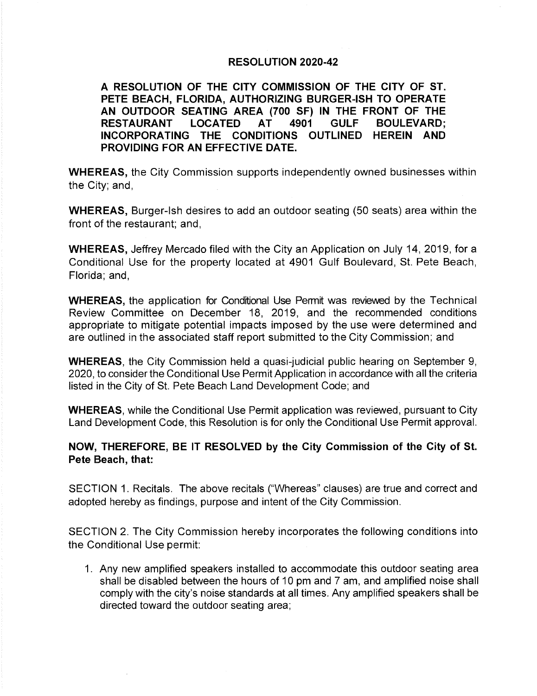### RESOLUTION 2020-42

A RESOLUTION OF THE CITY COMMISSION OF THE CITY OF ST. PETE BEACH. FLORIDA. AUTHORIZING BURGER-ISH TO OPERATE AN OUTDOOR SEATING AREA (700 SF) IN THE FRONT OF THE **RESTAURANT LOCATED** 4901 **GULF BOULEVARD: AT** INCORPORATING THE CONDITIONS OUTLINED HEREIN AND PROVIDING FOR AN EFFECTIVE DATE.

WHEREAS, the City Commission supports independently owned businesses within the City; and,

WHEREAS, Burger-Ish desires to add an outdoor seating (50 seats) area within the front of the restaurant; and,

WHEREAS, Jeffrey Mercado filed with the City an Application on July 14, 2019, for a Conditional Use for the property located at 4901 Gulf Boulevard, St. Pete Beach, Florida; and,

WHEREAS, the application for Conditional Use Permit was reviewed by the Technical Review Committee on December 18, 2019, and the recommended conditions appropriate to mitigate potential impacts imposed by the use were determined and are outlined in the associated staff report submitted to the City Commission; and

WHEREAS, the City Commission held a quasi-judicial public hearing on September 9, 2020, to consider the Conditional Use Permit Application in accordance with all the criteria listed in the City of St. Pete Beach Land Development Code, and

WHEREAS, while the Conditional Use Permit application was reviewed, pursuant to City Land Development Code, this Resolution is for only the Conditional Use Permit approval.

NOW, THEREFORE, BE IT RESOLVED by the City Commission of the City of St. Pete Beach, that:

SECTION 1. Recitals. The above recitals (" Whereas" clauses) are true and correct and adopted hereby as findings, purpose and intent of the City Commission.

SECTION 2. The City Commission hereby incorporates the following conditions into the Conditional Use permit:

1. Any new amplified speakers installed to accommodate this outdoor seating area shall be disabled between the hours of 10 pm and 7 am, and amplified noise shall comply with the city's noise standards at all times. Any amplified speakers shall be directed toward the outdoor seating area;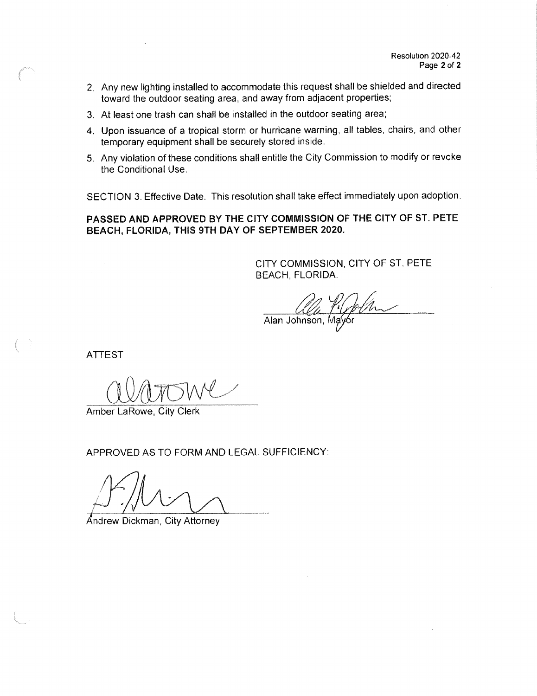- 2. Any new lighting installed to accommodate this request shall be shielded and directed toward the outdoor seating area, and away from adjacent properties;
- 3. At least one trash can shall be installed in the outdoor seating area;
- 4. Upon issuance of a tropical storm or hurricane warning, all tables, chairs, and other temporary equipment shall be securely stored inside.
- 5. Any violation of these conditions shall entitle the City Commission to modify or revoke the Conditional Use.

SECTION 3. Effective Date. This resolution shall take effect immediately upon adoption.

PASSED AND APPROVED BY THE CITY COMMISSION OF THE CITY OF ST. PETE BEACH, FLORIDA, THIS 9TH DAY OF SEPTEMBER 2020.

> CITY COMMISSION, CITY OF ST. PETE BEACH, FLORIDA.

Alan Johnson, Mayor

ATTEST:

Amber LaRowe, City Clerk

APPROVED AS TO FORM AND LEGAL SUFFICIENCY:

Andrew Dickman, City Attorney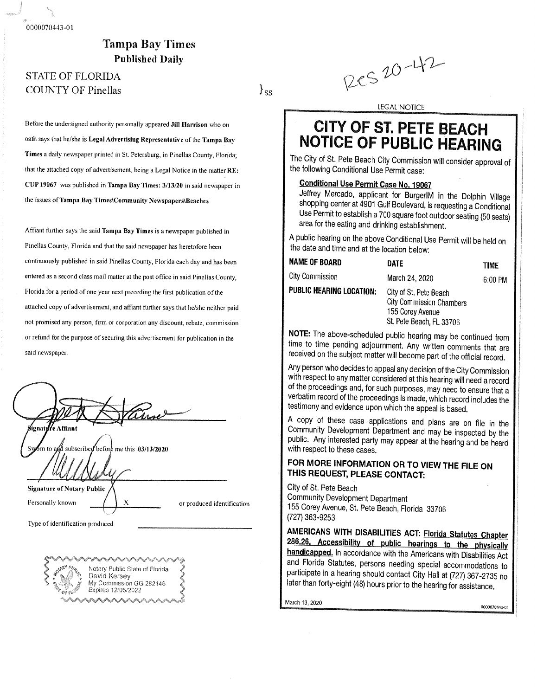0000070443-01

## **Tampa Bay Times Published Daily**

## Published Daily COUNTY OF Pinellas

Before the undersigned authority personally appeared Jill Harrison who on oath says that he/she is Legal Advertising Representative of the Tampa Bay Times a daily newspaper printed in St. Petersburg, in Pinellas County, Florida; that the attached copy of advertisement, being a Legal Notice in the matter RE: CUP 19067 was published in Tampa Bay Times: 3/13/20 in said newspaper in the issues of Tampa Bay Times\Community Newspapers\Beaches

Affiant further says the said Tampa Bay Times is a newspaper published in Pinellas County, Florida and that the said newspaper has heretofore been continuously published in said Pinellas County, Florida each day and has been entered as a second class mail matter at the post office in said Pinellas County, Florida for a period of one year next preceding the first publication of the attached copy of advertisement, and affiant further says that he/she neither paid not promised any person, firm or corporation any discount, rebate, commission or refund for the purpose of securing this advertisement for publication in the or refund for the purpose of securing this advertisement for publication in the

| ≸ignatµffe Affiant                               |                            |
|--------------------------------------------------|----------------------------|
| Syom to and subscribed before me this 03/13/2020 |                            |
| <b>Signature of Notary Public</b>                |                            |
| X<br>Personally known                            | or produced identification |
| Type of identification produced                  |                            |
|                                                  |                            |



 $20 - 42$ 

LEGAL NOTICE

# **CITY OF ST. PETE BEACH NOTICE OF PUBLIC HEARING**

The City of St. Pete Beach City Commission will consider approval of the following Conditional Use Permit case:

## Conditional Use Permit Case No. 19O87 '

 $\mathbf{s}_s$ 

Jeffrey Mercado, applicant for BurgerIM in the Dolphin Village shopping center at 4901 Gulf Boulevard, is requesting a Conditional Use Permit to establish a 700 square foot outdoor seating (50 seats)  $\frac{1}{2}$  for the estimated of diplomatic foot outdoor seating (50 Seats) in the seated of the estimate of diplomatic seating  $\frac{1}{2}$  $\mathbb{R}^n$  for the drinking establishment,

 $\frac{1}{2}$  and  $\frac{1}{2}$  and  $\frac{1}{2}$  and  $\frac{1}{2}$  is  $\frac{1}{2}$  is  $\frac{1}{2}$  is  $\frac{1}{2}$  is  $\frac{1}{2}$  is  $\frac{1}{2}$  is  $\frac{1}{2}$  is  $\frac{1}{2}$  is  $\frac{1}{2}$  is  $\frac{1}{2}$  is  $\frac{1}{2}$  is  $\frac{1}{2}$  is  $\frac{1}{2}$  is  $\frac{1}{2}$  the date and time and at the location below:

| <b>NAME OF BOARD</b>            | <b>DATE</b>                                                                                               | TIME    |
|---------------------------------|-----------------------------------------------------------------------------------------------------------|---------|
| City Commission                 | March 24, 2020                                                                                            | 6:00 PM |
| <b>PUBLIC HEARING LOCATION:</b> | City of St. Pete Beach<br><b>City Commission Chambers</b><br>155 Corey Avenue<br>St. Pete Beach, FL 33706 |         |

NOTE: The above-scheduled public hearing may be continued from time to time pending adjournment. Any written comments that are time 0otime pending adjournment. Any written comments that are received onthe subject matter will become part nfthe official record.

Any person who decides to appeal any decision of the City Commission<br>with respect to any matter considered at this hearing will need a record of the proceedings and, for such purposes, may need to ensure that a  $\frac{1}{2}$  consumings and, for such purposes, may need to ensure that a  $\nu$ edim record of the proceedings is made, which record includes the  $\nu$ testimony and evidence upon which the appeal is based.<br>A copy of these case applications and plans are on file in the

Community Development Department and may be inspected by the  $\text{Chir}$  Any interested party may an and may be inspected by the th respect to these cases.

### FOR MORE INFORMATION OR TO VIEW THE FILE ON THIS REQUEST, PLEASE CONTACT:

ger off the Beach Community Development Department 156Corey Avenue, St. Pete Beach, Florida 3S7O6 727) 363- 9253

AMERICANS WITH DISABILITIES ACT: Florida Statutes Chapter 286.26. Accessibility of public hearings to the physically handicapped. In accordance with the Americans with Disabilities Act and Florida Statutes, persons needing special accommodations to  $\frac{1}{2}$  and  $\frac{1}{2}$  status special accommodations to  $\frac{1}{2}$ particle in a hoding should contact City Hall at  $(727)$  367'-2735 no. later than forty-eight (48) hours prior to the hearing for assistance.

March 13, 2020 0000070443-01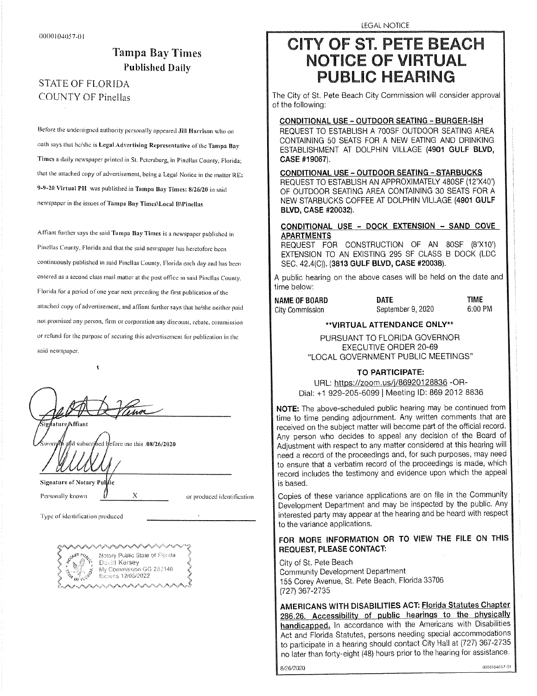## Tampa Bay Times Published Daily

## STATE OF FLORIDA COUNTY OF Pinellas

Before the undersigned authority personally appeared Jill Harrison who on oath says that he/she is Legal Advertising Representative of the Tampa Bay Times a daily newspaper printed in St. Petersburg, in Pinellas County, Florida; that the attached copy of advertisement, being a Legal Notice in the matter RE: 9-9-20 Virtual PH was published in Tampa Bay Times: 8/26/20 in said newspaper in the issues of Tampa Bay Times\ Local B\Pinellas

Affiant further says the said Tampa Bay Times is a newspaper published in Pinellas County, Florida and that the said newspaper has heretofore been continuously published in said Pinellas County, Florida each day and has been entered as a second class mail matter at the post office in said Pinellas County, Florida for a period of one year next preceding the first publication of the attached copy of advertisement, and affiant further says that he/she neither paid not promised any person, firm or corporation any discount, rebate. commission or refund for the purpose of securing this advertisement for publication in the said newspaper.

da m ighature Affiant

£

afd subscribed before me this .08/26/2020

Signature of Notary Pullie

Personally known  $\bigvee$  X or produced identification

Type Of identification produced



LEGAL NOTICE

## **CITY OF ST. PETE BEACH NOTICE OF VIRTUAL PUBLIC HEARING**

The City of St. Pete Beach City Commission will consider approval of the following:

CONDITIONAL USE - OUTDOOR SEATING - BURGER -ISH REQUEST TO ESTABLISH A 700SF OUTDOOR SEATING AREA CONTAINING 50 SEATS FOR A NEW EATING AND DRINKING ESTABLISHMENT AT DOLPHIN VILLAGE (4901 GULF BLVD, CASE #19067).

CONDITIONAL USE - OUTDOOR SEATING - STARBUCKS REQUEST TO ESTABLISH AN APPROXIMATELY 480SF (12'X40') OF OUTDOOR SEATING AREA CONTAINING 30 SEATS FOR A NEW STARBUCKS COFFEE AT DOLPHIN VILLAGE (4901 GULF BLVD, CASE #20032).

#### CONDITIONAL USE - DOCK EXTENSION - SAND COVE **APARTMENTS**

REQUEST FOR CONSTRUCTION OF AN 80SF (8'X10') EXTENSION TO AN EXISTING 295 SF CLASS B DOCK (LDC SEC. 42.4(C)). (3813 GULF BLVD, CASE #20038).

A public hearing on the above cases will be held on the date and time below:

# City Commission

**NAME OF BOARD DATE DATE TIME**<br>City Commission **DATE** Sentember 9, 2020 6:00 PM

#### VIRTUAL ATTENDANCE ONLY"

PURSUANT TO FLORIDA GOVERNOR EXECUTIVE ORDER 20-69 LOCAL GOVERNMENT PUBLIC MEETINGS"

#### TO PARTICIPATE:

URL: https://zoom.us/j/86920128836 - OR-Dial: +1 929-205-6099 | Meeting ID: 869 2012 8836

NOTE: The above-scheduled public hearing may be continued from time to time pending adjournment. Any written comments that are received on the subject matter will become part of the official record. Any person who decides to appeal any decision of the Board of Adjustment with respect to any matter considered at this hearing will need a record of the proceedings and, for such purposes, may need to ensure that a verbatim record of the proceedings is made, which record includes the testimony and evidence upon which the appeal is based.

Copies of these variance applications are on file in the Community Development Department and may be inspected by the public. Any interested party may appear at the hearing and be heard with respect to the variance applications.

### FOR MORE INFORMATION OR TO VIEW THE FILE ON THIS REQUEST, PLEASE CONTACT:

City of St. Pete Beach Community Development Department 155 Corey Avenue, St. Pete Beach, Florida 33706 727) 367- 2735

AMERICANS WITH DISABILITIES ACT: Florida Statutes Chanter : 286.26. Accessibility of public hearings to the physically handicapped. In accordance with the Americans with Disabilities Act and Florida Statutes, persons needing special accommodations to participate in a hearing should contact City Hall at (727) 367-2735 no later than forty-eight (48) hours prior to the hearing for assistance.

8/26/2020

0000104057-01